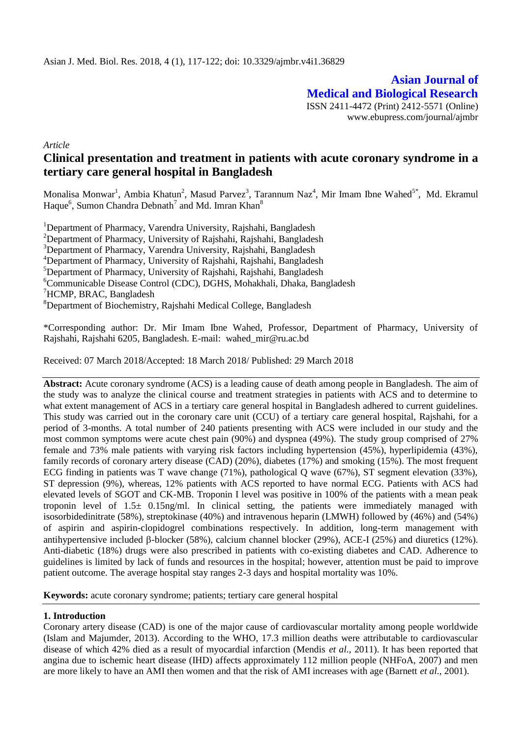**Asian Journal of Medical and Biological Research** ISSN 2411-4472 (Print) 2412-5571 (Online) www.ebupress.com/journal/ajmbr

*Article*

# **Clinical presentation and treatment in patients with acute coronary syndrome in a tertiary care general hospital in Bangladesh**

Monalisa Monwar<sup>1</sup>, Ambia Khatun<sup>2</sup>, Masud Parvez<sup>3</sup>, Tarannum Naz<sup>4</sup>, Mir Imam Ibne Wahed<sup>5\*</sup>, Md. Ekramul Haque<sup>6</sup>, Sumon Chandra Debnath<sup>7</sup> and Md. Imran Khan<sup>8</sup>

<sup>1</sup>Department of Pharmacy, Varendra University, Rajshahi, Bangladesh

<sup>2</sup>Department of Pharmacy, University of Rajshahi, Rajshahi, Bangladesh

<sup>3</sup>Department of Pharmacy, Varendra University, Rajshahi, Bangladesh

<sup>4</sup>Department of Pharmacy, University of Rajshahi, Rajshahi, Bangladesh

<sup>5</sup>Department of Pharmacy, University of Rajshahi, Rajshahi, Bangladesh

<sup>6</sup>Communicable Disease Control (CDC), DGHS, Mohakhali, Dhaka, Bangladesh

<sup>7</sup>HCMP, BRAC, Bangladesh

<sup>8</sup>Department of Biochemistry, Rajshahi Medical College, Bangladesh

\*Corresponding author: Dr. Mir Imam Ibne Wahed, Professor, Department of Pharmacy, University of Rajshahi, Rajshahi 6205, Bangladesh. E-mail: wahed\_mir@ru.ac.bd

Received: 07 March 2018/Accepted: 18 March 2018/ Published: 29 March 2018

**Abstract:** Acute coronary syndrome (ACS) is a leading cause of death among people in Bangladesh. The aim of the study was to analyze the clinical course and treatment strategies in patients with ACS and to determine to what extent management of ACS in a tertiary care general hospital in Bangladesh adhered to current guidelines. This study was carried out in the coronary care unit (CCU) of a tertiary care general hospital, Rajshahi, for a period of 3-months. A total number of 240 patients presenting with ACS were included in our study and the most common symptoms were acute chest pain (90%) and dyspnea (49%). The study group comprised of 27% female and 73% male patients with varying risk factors including hypertension (45%), hyperlipidemia (43%), family records of coronary artery disease (CAD) (20%), diabetes (17%) and smoking (15%). The most frequent ECG finding in patients was T wave change (71%), pathological Q wave (67%), ST segment elevation (33%), ST depression (9%), whereas, 12% patients with ACS reported to have normal ECG. Patients with ACS had elevated levels of SGOT and CK-MB. Troponin I level was positive in 100% of the patients with a mean peak troponin level of 1.5± 0.15ng/ml. In clinical setting, the patients were immediately managed with isosorbidedinitrate (58%), streptokinase (40%) and intravenous heparin (LMWH) followed by (46%) and (54%) of aspirin and aspirin-clopidogrel combinations respectively. In addition, long-term management with antihypertensive included  $\beta$ -blocker (58%), calcium channel blocker (29%), ACE-I (25%) and diuretics (12%). Anti-diabetic (18%) drugs were also prescribed in patients with co-existing diabetes and CAD. Adherence to guidelines is limited by lack of funds and resources in the hospital; however, attention must be paid to improve patient outcome. The average hospital stay ranges 2-3 days and hospital mortality was 10%.

**Keywords:** acute coronary syndrome; patients; tertiary care general hospital

# **1. Introduction**

Coronary artery disease (CAD) is one of the major cause of cardiovascular mortality among people worldwide (Islam and Majumder, 2013). According to the WHO, 17.3 million deaths were attributable to cardiovascular disease of which 42% died as a result of myocardial infarction (Mendis *et al*., 2011). It has been reported that angina due to ischemic heart disease (IHD) affects approximately 112 million people (NHFoA, 2007) and men are more likely to have an AMI then women and that the risk of AMI increases with age (Barnett *et al*., 2001).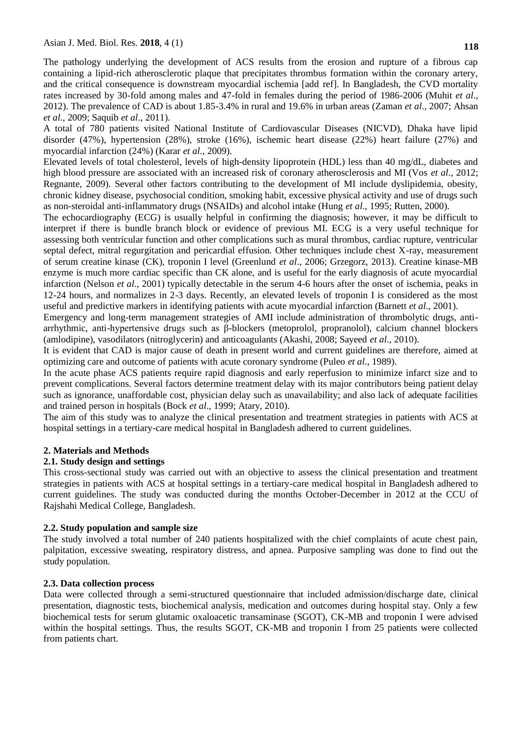The pathology underlying the development of ACS results from the erosion and rupture of a fibrous cap containing a lipid-rich atherosclerotic plaque that precipitates thrombus formation within the coronary artery, and the critical consequence is downstream myocardial ischemia [add ref]. In Bangladesh, the CVD mortality rates increased by 30-fold among males and 47-fold in females during the period of 1986-2006 (Muhit *et al*., 2012). The prevalence of CAD is about 1.85-3.4% in rural and 19.6% in urban areas (Zaman *et al*., 2007; Ahsan *et al*., 2009; Saquib *et al*., 2011).

A total of 780 patients visited National Institute of Cardiovascular Diseases (NICVD), Dhaka have lipid disorder (47%), hypertension (28%), stroke (16%), ischemic heart disease (22%) heart failure (27%) and myocardial infarction (24%) (Karar *et al*., 2009).

Elevated levels of total cholesterol, levels of high-density lipoprotein (HDL) less than 40 mg/dL, diabetes and high blood pressure are associated with an increased risk of coronary atherosclerosis and MI (Vos *et al*., 2012; Regnante, 2009). Several other factors contributing to the development of MI include dyslipidemia, obesity, chronic kidney disease, psychosocial condition, smoking habit, excessive physical activity and use of drugs such as non-steroidal anti-inflammatory drugs (NSAIDs) and alcohol intake (Hung *et al*., 1995; Rutten, 2000).

The echocardiography (ECG) is usually helpful in confirming the diagnosis; however, it may be difficult to interpret if there is bundle branch block or evidence of previous MI. ECG is a very useful technique for assessing both ventricular function and other complications such as mural thrombus, cardiac rupture, ventricular septal defect, mitral regurgitation and pericardial effusion. Other techniques include chest X-ray, measurement of serum creatine kinase (CK), troponin I level (Greenlund *et al*., 2006; Grzegorz, 2013). Creatine kinase-MB enzyme is much more cardiac specific than CK alone, and is useful for the early diagnosis of acute myocardial infarction (Nelson *et al*., 2001) typically detectable in the serum 4-6 hours after the onset of ischemia, peaks in 12-24 hours, and normalizes in 2-3 days. Recently, an elevated levels of troponin I is considered as the most useful and predictive markers in identifying patients with acute myocardial infarction (Barnett *et al*., 2001).

Emergency and long-term management strategies of AMI include administration of thrombolytic drugs, antiarrhythmic, anti-hypertensive drugs such as β-blockers (metoprolol, propranolol), calcium channel blockers (amlodipine), vasodilators (nitroglycerin) and anticoagulants (Akashi, 2008; Sayeed *et al*., 2010).

It is evident that CAD is major cause of death in present world and current guidelines are therefore, aimed at optimizing care and outcome of patients with acute coronary syndrome (Puleo *et al*., 1989).

In the acute phase ACS patients require rapid diagnosis and early reperfusion to minimize infarct size and to prevent complications. Several factors determine treatment delay with its major contributors being patient delay such as ignorance, unaffordable cost, physician delay such as unavailability; and also lack of adequate facilities and trained person in hospitals (Bock *et al*., 1999; Atary, 2010).

The aim of this study was to analyze the clinical presentation and treatment strategies in patients with ACS at hospital settings in a tertiary-care medical hospital in Bangladesh adhered to current guidelines.

# **2. Materials and Methods**

# **2.1***.* **Study design and settings**

This cross-sectional study was carried out with an objective to assess the clinical presentation and treatment strategies in patients with ACS at hospital settings in a tertiary-care medical hospital in Bangladesh adhered to current guidelines. The study was conducted during the months October-December in 2012 at the CCU of Rajshahi Medical College, Bangladesh.

# **2.2. Study population and sample size**

The study involved a total number of 240 patients hospitalized with the chief complaints of acute chest pain, palpitation, excessive sweating, respiratory distress, and apnea. Purposive sampling was done to find out the study population.

# **2.3. Data collection process**

Data were collected through a semi-structured questionnaire that included admission/discharge date, clinical presentation, diagnostic tests, biochemical analysis, medication and outcomes during hospital stay. Only a few biochemical tests for serum glutamic oxaloacetic transaminase (SGOT), CK-MB and troponin I were advised within the hospital settings. Thus, the results SGOT, CK-MB and troponin I from 25 patients were collected from patients chart.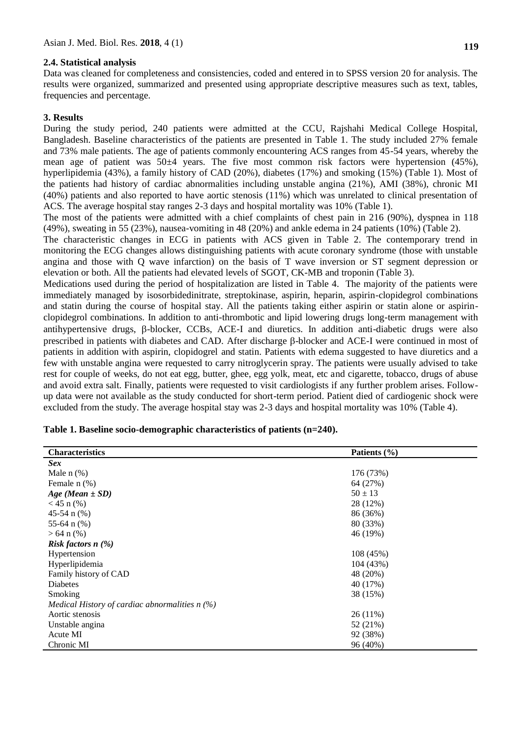#### **2.4. Statistical analysis**

Data was cleaned for completeness and consistencies, coded and entered in to SPSS version 20 for analysis. The results were organized, summarized and presented using appropriate descriptive measures such as text, tables, frequencies and percentage.

#### **3. Results**

During the study period, 240 patients were admitted at the CCU, Rajshahi Medical College Hospital, Bangladesh. Baseline characteristics of the patients are presented in Table 1. The study included 27% female and 73% male patients. The age of patients commonly encountering ACS ranges from 45-54 years, whereby the mean age of patient was  $50\pm4$  years. The five most common risk factors were hypertension (45%), hyperlipidemia (43%), a family history of CAD (20%), diabetes (17%) and smoking (15%) (Table 1). Most of the patients had history of cardiac abnormalities including unstable angina (21%), AMI (38%), chronic MI (40%) patients and also reported to have aortic stenosis (11%) which was unrelated to clinical presentation of ACS. The average hospital stay ranges 2-3 days and hospital mortality was 10% (Table 1).

The most of the patients were admitted with a chief complaints of chest pain in 216 (90%), dyspnea in 118 (49%), sweating in 55 (23%), nausea-vomiting in 48 (20%) and ankle edema in 24 patients (10%) (Table 2).

The characteristic changes in ECG in patients with ACS given in Table 2. The contemporary trend in monitoring the ECG changes allows distinguishing patients with acute coronary syndrome (those with unstable angina and those with Q wave infarction) on the basis of T wave inversion or ST segment depression or elevation or both. All the patients had elevated levels of SGOT, CK-MB and troponin (Table 3).

Medications used during the period of hospitalization are listed in Table 4. The majority of the patients were immediately managed by isosorbidedinitrate, streptokinase, aspirin, heparin, aspirin-clopidegrol combinations and statin during the course of hospital stay. All the patients taking either aspirin or statin alone or aspirinclopidegrol combinations. In addition to anti-thrombotic and lipid lowering drugs long-term management with antihypertensive drugs,  $\beta$ -blocker, CCBs, ACE-I and diuretics. In addition anti-diabetic drugs were also prescribed in patients with diabetes and CAD. After discharge  $\beta$ -blocker and ACE-I were continued in most of patients in addition with aspirin, clopidogrel and statin. Patients with edema suggested to have diuretics and a few with unstable angina were requested to carry nitroglycerin spray. The patients were usually advised to take rest for couple of weeks, do not eat egg, butter, ghee, egg yolk, meat, etc and cigarette, tobacco, drugs of abuse and avoid extra salt. Finally, patients were requested to visit cardiologists if any further problem arises. Followup data were not available as the study conducted for short-term period. Patient died of cardiogenic shock were excluded from the study. The average hospital stay was 2-3 days and hospital mortality was 10% (Table 4).

| <b>Characteristics</b>                           | Patients $(\% )$ |
|--------------------------------------------------|------------------|
| <b>Sex</b>                                       |                  |
| Male $n$ $(\%)$                                  | 176 (73%)        |
| Female $n$ $(\%)$                                | 64 (27%)         |
| $Age (Mean \pm SD)$                              | $50 \pm 13$      |
| $<$ 45 n (%)                                     | 28 (12%)         |
| 45-54 $n$ (%)                                    | 86 (36%)         |
| 55-64 $n$ (%)                                    | 80 (33%)         |
| $> 64 \text{ n}$ (%)                             | 46 (19%)         |
| Risk factors $n$ (%)                             |                  |
| Hypertension                                     | 108 (45%)        |
| Hyperlipidemia                                   | 104 (43%)        |
| Family history of CAD                            | 48 (20%)         |
| Diabetes                                         | 40 (17%)         |
| Smoking                                          | 38 (15%)         |
| Medical History of cardiac abnormalities $n$ (%) |                  |
| Aortic stenosis                                  | 26 (11%)         |
| Unstable angina                                  | 52 (21%)         |
| Acute MI                                         | 92 (38%)         |
| Chronic MI                                       | 96 (40%)         |
|                                                  |                  |

#### **Table 1. Baseline socio-demographic characteristics of patients (n=240).**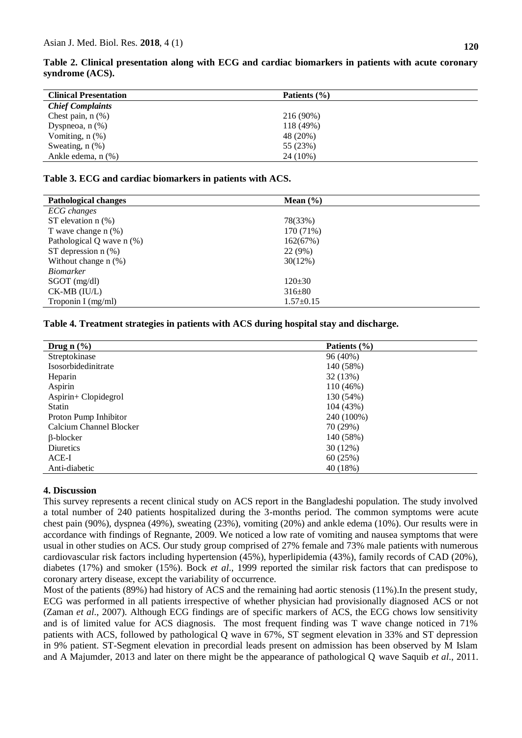| <b>Clinical Presentation</b> | Patients $(\% )$ |
|------------------------------|------------------|
| <b>Chief Complaints</b>      |                  |
| Chest pain, $n$ $(\%)$       | 216 (90%)        |
| Dyspneoa, $n$ $(\%)$         | 118 (49%)        |
| Vomiting, $n$ $(\%)$         | 48 (20%)         |
| Sweating, $n$ $(\%)$         | 55 (23%)         |
| Ankle edema, n (%)           | 24 (10%)         |

**Table 2. Clinical presentation along with ECG and cardiac biomarkers in patients with acute coronary syndrome (ACS).**

#### **Table 3. ECG and cardiac biomarkers in patients with ACS.**

| <b>Pathological changes</b> | Mean $(\% )$    |
|-----------------------------|-----------------|
| ECG changes                 |                 |
| ST elevation $n$ $(\%)$     | 78(33%)         |
| T wave change $n$ (%)       | 170 (71%)       |
| Pathological Q wave n (%)   | 162(67%)        |
| ST depression $n$ $(\%)$    | 22 (9%)         |
| Without change $n$ (%)      | $30(12\%)$      |
| <i>Biomarker</i>            |                 |
| $SGOT$ (mg/dl)              | $120 \pm 30$    |
| $CK-MB$ ( $IU/L$ )          | $316\pm80$      |
| Troponin I $(mg/ml)$        | $1.57 \pm 0.15$ |

**Table 4. Treatment strategies in patients with ACS during hospital stay and discharge.**

| Drug n $(\% )$             | Patients $(\% )$ |  |
|----------------------------|------------------|--|
| Streptokinase              | 96 (40%)         |  |
| <b>Isosorbidedinitrate</b> | 140 (58%)        |  |
| Heparin                    | 32 (13%)         |  |
| Aspirin                    | 110 (46%)        |  |
| Aspirin+ Clopidegrol       | 130 (54%)        |  |
| <b>Statin</b>              | 104 (43%)        |  |
| Proton Pump Inhibitor      | 240 (100%)       |  |
| Calcium Channel Blocker    | 70 (29%)         |  |
| $\beta$ -blocker           | 140 (58%)        |  |
| Diuretics                  | 30 (12%)         |  |
| ACE-I                      | 60(25%)          |  |
| Anti-diabetic              | 40 (18%)         |  |

#### **4. Discussion**

This survey represents a recent clinical study on ACS report in the Bangladeshi population. The study involved a total number of 240 patients hospitalized during the 3-months period. The common symptoms were acute chest pain (90%), dyspnea (49%), sweating (23%), vomiting (20%) and ankle edema (10%). Our results were in accordance with findings of Regnante, 2009. We noticed a low rate of vomiting and nausea symptoms that were usual in other studies on ACS. Our study group comprised of 27% female and 73% male patients with numerous cardiovascular risk factors including hypertension (45%), hyperlipidemia (43%), family records of CAD (20%), diabetes (17%) and smoker (15%). Bock *et al*., 1999 reported the similar risk factors that can predispose to coronary artery disease, except the variability of occurrence.

Most of the patients (89%) had history of ACS and the remaining had aortic stenosis (11%).In the present study, ECG was performed in all patients irrespective of whether physician had provisionally diagnosed ACS or not (Zaman *et al*., 2007). Although ECG findings are of specific markers of ACS, the ECG chows low sensitivity and is of limited value for ACS diagnosis. The most frequent finding was T wave change noticed in 71% patients with ACS, followed by pathological Q wave in 67%, ST segment elevation in 33% and ST depression in 9% patient. ST-Segment elevation in precordial leads present on admission has been observed by M Islam and A Majumder, 2013 and later on there might be the appearance of pathological Q wave Saquib *et al*., 2011.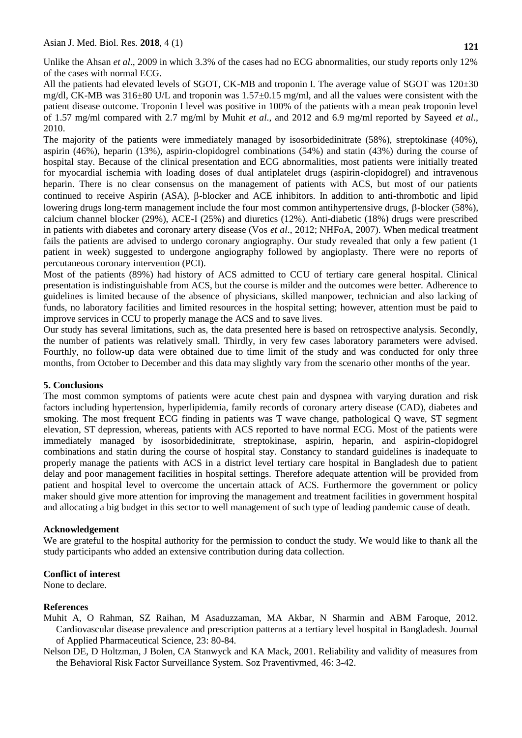Unlike the Ahsan *et al*., 2009 in which 3.3% of the cases had no ECG abnormalities, our study reports only 12% of the cases with normal ECG.

All the patients had elevated levels of SGOT, CK-MB and troponin I. The average value of SGOT was  $120\pm30$ mg/dl, CK-MB was  $316\pm80$  U/L and troponin was  $1.57\pm0.15$  mg/ml, and all the values were consistent with the patient disease outcome. Troponin I level was positive in 100% of the patients with a mean peak troponin level of 1.57 mg/ml compared with 2.7 mg/ml by Muhit *et al*., and 2012 and 6.9 mg/ml reported by Sayeed *et al*., 2010.

The majority of the patients were immediately managed by isosorbidedinitrate (58%), streptokinase (40%), aspirin (46%), heparin (13%), aspirin-clopidogrel combinations (54%) and statin (43%) during the course of hospital stay. Because of the clinical presentation and ECG abnormalities, most patients were initially treated for myocardial ischemia with loading doses of dual antiplatelet drugs (aspirin-clopidogrel) and intravenous heparin. There is no clear consensus on the management of patients with ACS, but most of our patients continued to receive Aspirin (ASA),  $\beta$ -blocker and ACE inhibitors. In addition to anti-thrombotic and lipid lowering drugs long-term management include the four most common antihypertensive drugs,  $\beta$ -blocker (58%), calcium channel blocker (29%), ACE-I (25%) and diuretics (12%). Anti-diabetic (18%) drugs were prescribed in patients with diabetes and coronary artery disease (Vos *et al*., 2012; NHFoA, 2007). When medical treatment fails the patients are advised to undergo coronary angiography. Our study revealed that only a few patient (1 patient in week) suggested to undergone angiography followed by angioplasty. There were no reports of percutaneous coronary intervention (PCI).

Most of the patients (89%) had history of ACS admitted to CCU of tertiary care general hospital. Clinical presentation is indistinguishable from ACS, but the course is milder and the outcomes were better. Adherence to guidelines is limited because of the absence of physicians, skilled manpower, technician and also lacking of funds, no laboratory facilities and limited resources in the hospital setting; however, attention must be paid to improve services in CCU to properly manage the ACS and to save lives.

Our study has several limitations, such as, the data presented here is based on retrospective analysis. Secondly, the number of patients was relatively small. Thirdly, in very few cases laboratory parameters were advised. Fourthly, no follow-up data were obtained due to time limit of the study and was conducted for only three months, from October to December and this data may slightly vary from the scenario other months of the year.

# **5. Conclusions**

The most common symptoms of patients were acute chest pain and dyspnea with varying duration and risk factors including hypertension, hyperlipidemia, family records of coronary artery disease (CAD), diabetes and smoking. The most frequent ECG finding in patients was T wave change, pathological Q wave, ST segment elevation, ST depression, whereas, patients with ACS reported to have normal ECG. Most of the patients were immediately managed by isosorbidedinitrate, streptokinase, aspirin, heparin, and aspirin-clopidogrel combinations and statin during the course of hospital stay. Constancy to standard guidelines is inadequate to properly manage the patients with ACS in a district level tertiary care hospital in Bangladesh due to patient delay and poor management facilities in hospital settings. Therefore adequate attention will be provided from patient and hospital level to overcome the uncertain attack of ACS. Furthermore the government or policy maker should give more attention for improving the management and treatment facilities in government hospital and allocating a big budget in this sector to well management of such type of leading pandemic cause of death.

# **Acknowledgement**

We are grateful to the hospital authority for the permission to conduct the study. We would like to thank all the study participants who added an extensive contribution during data collection.

# **Conflict of interest**

None to declare.

# **References**

- Muhit A, O Rahman, SZ Raihan, M Asaduzzaman, MA Akbar, N Sharmin and ABM Faroque, 2012. Cardiovascular disease prevalence and prescription patterns at a tertiary level hospital in Bangladesh. Journal of Applied Pharmaceutical Science, 23: 80-84.
- Nelson DE, D Holtzman, J Bolen, CA Stanwyck and KA Mack, 2001. Reliability and validity of measures from the Behavioral Risk Factor Surveillance System. Soz Praventivmed, 46: 3-42.